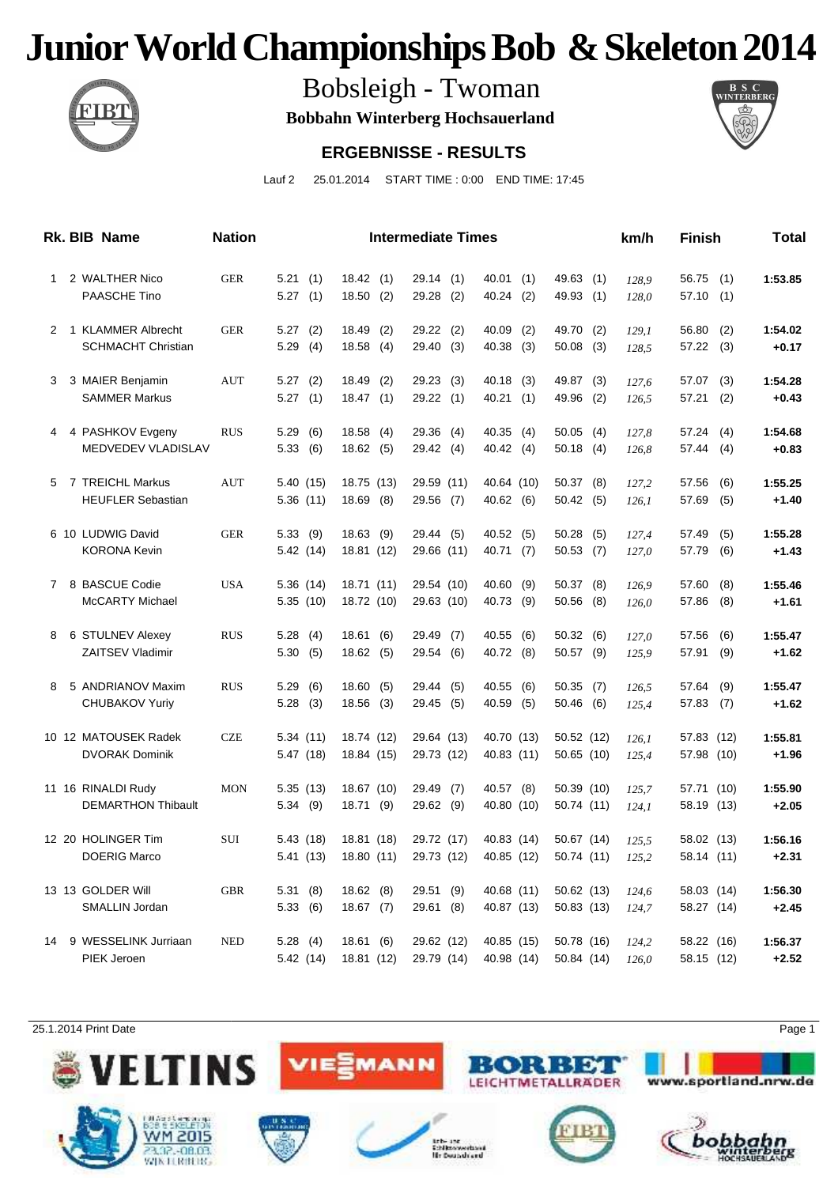

Bobsleigh - Twoman

**Bobbahn Winterberg Hochsauerland**



#### **ERGEBNISSE - RESULTS**

Lauf 2 25.01.2014 START TIME : 0:00 END TIME: 17:45

|   | Rk. BIB Name                                      | <b>Nation</b> |                        |                           | <b>Intermediate Times</b> |                              |                            | km/h           | Finish                   |            | Total              |
|---|---------------------------------------------------|---------------|------------------------|---------------------------|---------------------------|------------------------------|----------------------------|----------------|--------------------------|------------|--------------------|
| 1 | 2 WALTHER Nico<br><b>PAASCHE Tino</b>             | <b>GER</b>    | 5.21(1)<br>5.27(1)     | 18.42(1)<br>18.50(2)      | 29.14(1)<br>$29.28$ (2)   | 40.01<br>(1)<br>40.24 (2)    | 49.63 (1)<br>49.93 (1)     | 128,9<br>128,0 | 56.75<br>57.10           | (1)<br>(1) | 1:53.85            |
|   | 2 1 KLAMMER Albrecht<br><b>SCHMACHT Christian</b> | <b>GER</b>    | $5.27$ (2)<br>5.29(4)  | 18.49(2)<br>18.58(4)      | 29.22 (2)<br>29.40 (3)    | 40.09<br>(2)<br>40.38<br>(3) | 49.70 (2)<br>$50.08$ (3)   | 129,1<br>128,5 | 56.80<br>57.22 (3)       | (2)        | 1:54.02<br>$+0.17$ |
|   | 3 3 MAIER Benjamin                                | <b>AUT</b>    | 5.27(2)                | 18.49(2)                  | 29.23 (3)                 | $40.18$ (3)                  | 49.87 (3)                  | 127.6          | 57.07                    | (3)        | 1:54.28            |
|   | <b>SAMMER Markus</b><br>4 4 PASHKOV Evgeny        | <b>RUS</b>    | 5.27(1)<br>5.29<br>(6) | 18.47(1)<br>18.58(4)      | 29.22 (1)<br>29.36 (4)    | 40.21 (1)<br>40.35(4)        | 49.96 (2)<br>$50.05$ (4)   | 126,5<br>127,8 | 57.21<br>57.24           | (2)<br>(4) | $+0.43$<br>1:54.68 |
|   | MEDVEDEV VLADISLAV                                |               | 5.33(6)                | 18.62(5)                  | 29.42 (4)                 | 40.42 (4)                    | $50.18$ (4)                | 126,8          | 57.44                    | (4)        | $+0.83$            |
|   | 5 7 TREICHL Markus<br><b>HEUFLER Sebastian</b>    | AUT           | 5.40 (15)<br>5.36(11)  | 18.75 (13)<br>$18.69$ (8) | 29.59 (11)<br>29.56 (7)   | 40.64 (10)<br>40.62 (6)      | 50.37(8)<br>50.42(5)       | 127,2<br>126,1 | 57.56<br>57.69           | (6)<br>(5) | 1:55.25<br>$+1.40$ |
|   | 6 10 LUDWIG David<br><b>KORONA Kevin</b>          | <b>GER</b>    | 5.33(9)<br>5.42 (14)   | $18.63$ (9)<br>18.81 (12) | 29.44 (5)<br>29.66 (11)   | 40.52(5)<br>40.71(7)         | $50.28$ (5)<br>50.53(7)    | 127,4<br>127,0 | 57.49<br>57.79           | (5)<br>(6) | 1:55.28<br>$+1.43$ |
|   | 7 8 BASCUE Codie<br><b>McCARTY Michael</b>        | <b>USA</b>    | 5.36 (14)<br>5.35(10)  | 18.71 (11)<br>18.72 (10)  | 29.54 (10)<br>29.63 (10)  | 40.60<br>(9)<br>40.73<br>(9) | $50.37$ (8)<br>$50.56$ (8) | 126.9<br>126,0 | 57.60<br>57.86           | (8)<br>(8) | 1:55.46<br>$+1.61$ |
|   | 8 6 STULNEV Alexey                                | <b>RUS</b>    | 5.28(4)                | 18.61(6)                  | 29.49 (7)                 | 40.55<br>(6)                 | 50.32(6)                   | 127,0          | 57.56                    | (6)        | 1:55.47            |
| 8 | <b>ZAITSEV Vladimir</b><br>5 ANDRIANOV Maxim      | <b>RUS</b>    | 5.30(5)<br>5.29<br>(6) | 18.62(5)<br>18.60(5)      | 29.54 (6)<br>29.44 (5)    | 40.72 (8)<br>40.55<br>(6)    | $50.57$ (9)<br>$50.35$ (7) | 125,9<br>126,5 | 57.91<br>57.64           | (9)<br>(9) | $+1.62$<br>1:55.47 |
|   | <b>CHUBAKOV Yuriy</b>                             |               | 5.28(3)                | $18.56$ (3)               | 29.45 (5)                 | 40.59<br>(5)                 | 50.46(6)                   | 125,4          | 57.83                    | (7)        | $+1.62$            |
|   | 10 12 MATOUSEK Radek<br><b>DVORAK Dominik</b>     | <b>CZE</b>    | 5.34(11)<br>5.47(18)   | 18.74 (12)<br>18.84 (15)  | 29.64 (13)<br>29.73 (12)  | 40.70 (13)<br>40.83 (11)     | 50.52 (12)<br>50.65(10)    | 126.1<br>125,4 | 57.83 (12)<br>57.98 (10) |            | 1:55.81<br>$+1.96$ |
|   | 11 16 RINALDI Rudy<br><b>DEMARTHON Thibault</b>   | <b>MON</b>    | 5.35(13)<br>5.34(9)    | 18.67 (10)<br>18.71(9)    | 29.49 (7)<br>29.62 (9)    | 40.57 (8)<br>40.80 (10)      | 50.39 (10)<br>50.74 (11)   | 125.7<br>124,1 | 57.71 (10)<br>58.19 (13) |            | 1:55.90<br>$+2.05$ |
|   | 12 20 HOLINGER Tim<br><b>DOERIG Marco</b>         | SUI           | 5.43 (18)<br>5.41(13)  | 18.81 (18)<br>18.80 (11)  | 29.72 (17)<br>29.73 (12)  | 40.83 (14)<br>40.85 (12)     | 50.67 (14)<br>50.74 (11)   | 125,5<br>125.2 | 58.02 (13)<br>58.14 (11) |            | 1:56.16<br>$+2.31$ |
|   | 13 13 GOLDER Will                                 | <b>GBR</b>    | 5.31(8)                | 18.62(8)                  | 29.51 (9)                 | 40.68 (11)                   | 50.62(13)                  | 124,6          | 58.03 (14)               |            | 1:56.30            |
|   | SMALLIN Jordan<br>14 9 WESSELINK Jurriaan         | <b>NED</b>    | 5.33(6)<br>5.28(4)     | 18.67(7)<br>18.61(6)      | 29.61(8)<br>29.62 (12)    | 40.87 (13)<br>40.85 (15)     | 50.83(13)<br>50.78 (16)    | 124,7<br>124.2 | 58.27 (14)<br>58.22 (16) |            | $+2.45$<br>1:56.37 |
|   | PIEK Jeroen                                       |               | 5.42 (14)              | 18.81 (12)                | 29.79 (14)                | 40.98 (14)                   | 50.84 (14)                 | 126,0          | 58.15 (12)               |            | $+2.52$            |

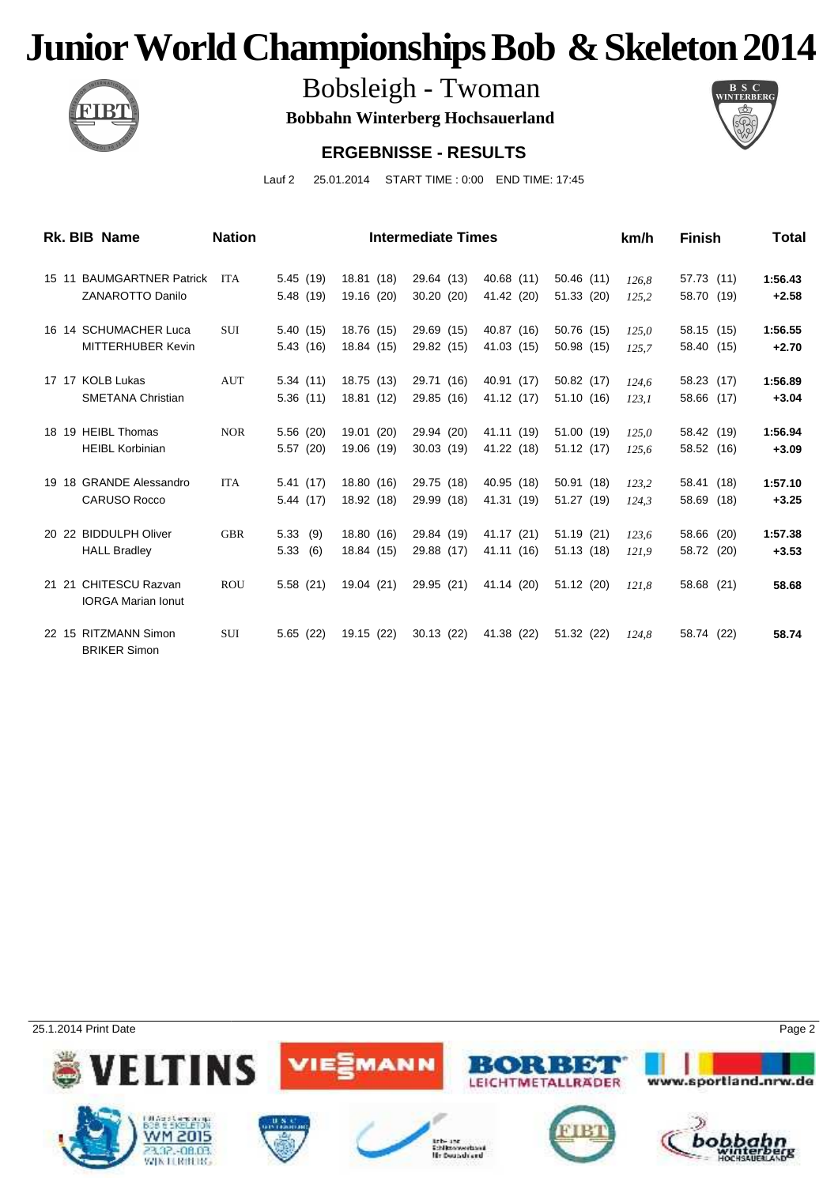

Bobsleigh - Twoman

**Bobbahn Winterberg Hochsauerland**



#### **ERGEBNISSE - RESULTS**

Lauf 2 25.01.2014 START TIME : 0:00 END TIME: 17:45

| Rk. BIB Name              | <b>Nation</b> |             |            | <b>Intermediate Times</b> |            |            | km/h  | <b>Finish</b> | Total   |
|---------------------------|---------------|-------------|------------|---------------------------|------------|------------|-------|---------------|---------|
| 15 11 BAUMGARTNER Patrick | <b>ITA</b>    | 5.45(19)    | 18.81 (18) | 29.64 (13)                | 40.68 (11) | 50.46(11)  | 126.8 | 57.73 (11)    | 1:56.43 |
| <b>ZANAROTTO Danilo</b>   |               | 5.48(19)    | 19.16 (20) | 30.20(20)                 | 41.42 (20) | 51.33 (20) | 125,2 | 58.70 (19)    | $+2.58$ |
| 16 14 SCHUMACHER Luca     | <b>SUI</b>    | 5.40(15)    | 18.76 (15) | 29.69 (15)                | 40.87 (16) | 50.76 (15) | 125,0 | 58.15 (15)    | 1:56.55 |
| MITTERHUBER Kevin         |               | 5.43(16)    | 18.84 (15) | 29.82 (15)                | 41.03 (15) | 50.98 (15) | 125,7 | 58.40 (15)    | $+2.70$ |
| 17 17 KOLB Lukas          | <b>AUT</b>    | 5.34(11)    | 18.75 (13) | 29.71 (16)                | 40.91 (17) | 50.82 (17) | 124,6 | 58.23 (17)    | 1:56.89 |
| <b>SMETANA Christian</b>  |               | 5.36(11)    | 18.81 (12) | 29.85 (16)                | 41.12 (17) | 51.10 (16) | 123,1 | 58.66 (17)    | $+3.04$ |
| 18 19 HEIBL Thomas        | <b>NOR</b>    | 5.56(20)    | 19.01 (20) | 29.94 (20)                | 41.11 (19) | 51.00 (19) | 125,0 | 58.42 (19)    | 1:56.94 |
| <b>HEIBL Korbinian</b>    |               | 5.57(20)    | 19.06 (19) | 30.03(19)                 | 41.22 (18) | 51.12(17)  | 125,6 | 58.52 (16)    | $+3.09$ |
| 19 18 GRANDE Alessandro   | <b>ITA</b>    | 5.41(17)    | 18.80 (16) | 29.75 (18)                | 40.95 (18) | 50.91(18)  | 123.2 | 58.41 (18)    | 1:57.10 |
| <b>CARUSO Rocco</b>       |               | 5.44(17)    | 18.92 (18) | 29.99 (18)                | 41.31 (19) | 51.27 (19) | 124.3 | 58.69 (18)    | $+3.25$ |
| 20 22 BIDDULPH Oliver     | <b>GBR</b>    | 5.33<br>(9) | 18.80 (16) | 29.84 (19)                | 41.17 (21) | 51.19(21)  | 123.6 | 58.66 (20)    | 1:57.38 |
| <b>HALL Bradley</b>       |               | 5.33<br>(6) | 18.84 (15) | 29.88 (17)                | 41.11 (16) | 51.13 (18) | 121.9 | 58.72 (20)    | $+3.53$ |
| 21 21 CHITESCU Razvan     | <b>ROU</b>    | 5.58(21)    | 19.04 (21) | 29.95 (21)                | 41.14 (20) | 51.12 (20) | 121.8 | 58.68 (21)    | 58.68   |
| <b>IORGA Marian Ionut</b> |               |             |            |                           |            |            |       |               |         |
| 22 15 RITZMANN Simon      | SUI           | 5.65(22)    | 19.15 (22) | 30.13(22)                 | 41.38 (22) | 51.32 (22) | 124.8 | 58.74 (22)    | 58.74   |
| <b>BRIKER Simon</b>       |               |             |            |                           |            |            |       |               |         |

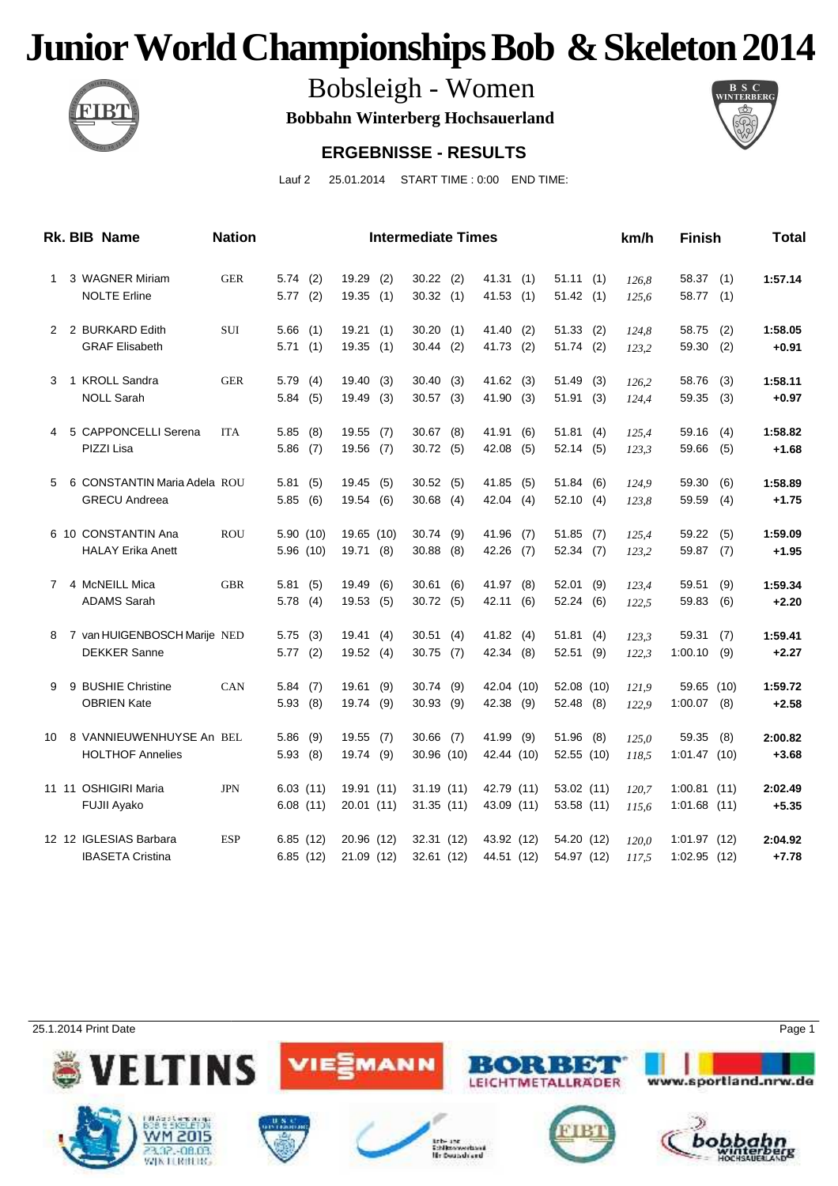

Bobsleigh - Women

**Bobbahn Winterberg Hochsauerland**



#### **ERGEBNISSE - RESULTS**

Lauf 2 25.01.2014 START TIME : 0:00 END TIME:

|    | <b>Rk. BIB Name</b>                                  | <b>Nation</b> |                       |     |                          |            | <b>Intermediate Times</b> |     |                          |            |                           |     | km/h           | Finish                           |            | Total              |
|----|------------------------------------------------------|---------------|-----------------------|-----|--------------------------|------------|---------------------------|-----|--------------------------|------------|---------------------------|-----|----------------|----------------------------------|------------|--------------------|
| 1  | 3 WAGNER Miriam<br><b>NOLTE Erline</b>               | <b>GER</b>    | 5.74(2)<br>5.77(2)    |     | 19.29<br>19.35           | (2)<br>(1) | $30.22$ (2)<br>30.32(1)   |     | 41.31<br>41.53           | (1)<br>(1) | 51.11(1)<br>51.42(1)      |     | 126,8<br>125,6 | 58.37<br>58.77                   | (1)<br>(1) | 1:57.14            |
|    | 2 2 BURKARD Edith                                    | <b>SUI</b>    | 5.66                  | (1) | 19.21                    | (1)        | 30.20                     | (1) | 41.40                    | (2)        | 51.33(2)                  |     | 124,8          | 58.75                            | (2)        | 1:58.05            |
|    | <b>GRAF Elisabeth</b>                                |               | 5.71                  | (1) | 19.35                    | (1)        | $30.44$ (2)               |     | 41.73                    | (2)        | 51.74 (2)                 |     | 123,2          | 59.30                            | (2)        | $+0.91$            |
| 3  | 1 KROLL Sandra                                       | <b>GER</b>    | 5.79(4)               |     | 19.40(3)                 |            | 30.40(3)                  |     | 41.62(3)                 |            | 51.49                     | (3) | 126,2          | 58.76                            | (3)        | 1:58.11            |
|    | <b>NOLL Sarah</b>                                    |               | 5.84(5)               |     | 19.49                    | (3)        | $30.57$ (3)               |     | 41.90                    | (3)        | 51.91                     | (3) | 124,4          | 59.35                            | (3)        | $+0.97$            |
| 4  | 5 CAPPONCELLI Serena                                 | <b>ITA</b>    | 5.85                  | (8) | 19.55(7)                 |            | $30.67$ $(8)$             |     | 41.91                    | (6)        | 51.81(4)                  |     | 125,4          | 59.16                            | (4)        | 1:58.82            |
|    | PIZZI Lisa                                           |               | 5.86                  | (7) | 19.56 (7)                |            | 30.72 (5)                 |     | 42.08                    | (5)        | 52.14(5)                  |     | 123,3          | 59.66                            | (5)        | $+1.68$            |
| 5. | 6 CONSTANTIN Maria Adela ROU<br><b>GRECU Andreea</b> |               | 5.81(5)<br>5.85       | (6) | 19.45(5)<br>19.54 (6)    |            | 30.52(5)<br>$30.68$ (4)   |     | 41.85<br>42.04           | (5)<br>(4) | 51.84(6)<br>52.10(4)      |     | 124.9<br>123,8 | 59.30<br>59.59                   | (6)<br>(4) | 1:58.89<br>$+1.75$ |
|    |                                                      |               |                       |     |                          |            |                           |     |                          |            |                           |     |                |                                  |            |                    |
|    | 6 10 CONSTANTIN Ana<br><b>HALAY Erika Anett</b>      | <b>ROU</b>    | 5.90(10)<br>5.96(10)  |     | 19.65 (10)<br>19.71 (8)  |            | 30.74(9)<br>30.88         | (8) | 41.96<br>42.26           | (7)<br>(7) | 51.85(7)<br>$52.34$ (7)   |     | 125,4<br>123,2 | 59.22<br>59.87                   | (5)<br>(7) | 1:59.09<br>$+1.95$ |
|    | 7 4 McNEILL Mica                                     | <b>GBR</b>    | 5.81(5)               |     | 19.49 (6)                |            | $30.61$ (6)               |     | 41.97 (8)                |            | 52.01 (9)                 |     | 123.4          | 59.51                            | (9)        | 1:59.34            |
|    | <b>ADAMS Sarah</b>                                   |               | 5.78(4)               |     | 19.53 (5)                |            | 30.72 (5)                 |     | 42.11                    | (6)        | 52.24 (6)                 |     | 122,5          | 59.83                            | (6)        | $+2.20$            |
| 8  | 7 van HUIGENBOSCH Marije NED                         |               | 5.75(3)               |     | 19.41(4)                 |            | 30.51(4)                  |     | 41.82 (4)                |            | 51.81(4)                  |     | 123.3          | 59.31                            | (7)        | 1:59.41            |
|    | <b>DEKKER Sanne</b>                                  |               | 5.77(2)               |     | 19.52(4)                 |            | 30.75 (7)                 |     | 42.34                    | (8)        | $52.51$ (9)               |     | 122,3          | 1:00.10                          | (9)        | $+2.27$            |
| 9  | 9 BUSHIE Christine                                   | CAN           | 5.84(7)               |     | 19.61 (9)                |            | 30.74 (9)                 |     | 42.04 (10)               |            | 52.08 (10)                |     | 121.9          | 59.65 (10)                       |            | 1:59.72            |
|    | <b>OBRIEN Kate</b>                                   |               | 5.93(8)               |     | 19.74                    | (9)        | $30.93$ (9)               |     | 42.38 (9)                |            | 52.48 (8)                 |     | 122,9          | 1:00.07                          | (8)        | $+2.58$            |
| 10 | 8 VANNIEUWENHUYSE An BEL<br><b>HOLTHOF Annelies</b>  |               | $5.86$ (9)<br>5.93(8) |     | $19.55$ (7)<br>19.74 (9) |            | $30.66$ (7)<br>30.96 (10) |     | 41.99 (9)<br>42.44 (10)  |            | $51.96$ (8)<br>52.55 (10) |     | 125,0<br>118,5 | 59.35<br>1:01.47(10)             | (8)        | 2:00.82<br>$+3.68$ |
|    |                                                      |               |                       |     |                          |            |                           |     |                          |            |                           |     |                |                                  |            |                    |
|    | 11 11 OSHIGIRI Maria<br><b>FUJII Ayako</b>           | <b>JPN</b>    | 6.03(11)<br>6.08(11)  |     | 19.91 (11)<br>20.01 (11) |            | 31.19 (11)<br>31.35(11)   |     | 42.79 (11)<br>43.09 (11) |            | 53.02 (11)<br>53.58 (11)  |     | 120,7<br>115,6 | $1:00.81$ (11)<br>$1:01.68$ (11) |            | 2:02.49<br>$+5.35$ |
|    | 12 12 IGLESIAS Barbara                               | <b>ESP</b>    | 6.85(12)              |     | 20.96 (12)               |            | 32.31 (12)                |     | 43.92 (12)               |            | 54.20 (12)                |     | 120.0          | 1:01.97(12)                      |            | 2:04.92            |
|    | <b>IBASETA Cristina</b>                              |               | 6.85(12)              |     | 21.09 (12)               |            | 32.61 (12)                |     | 44.51 (12)               |            | 54.97 (12)                |     | 117.5          | $1:02.95$ (12)                   |            | $+7.78$            |

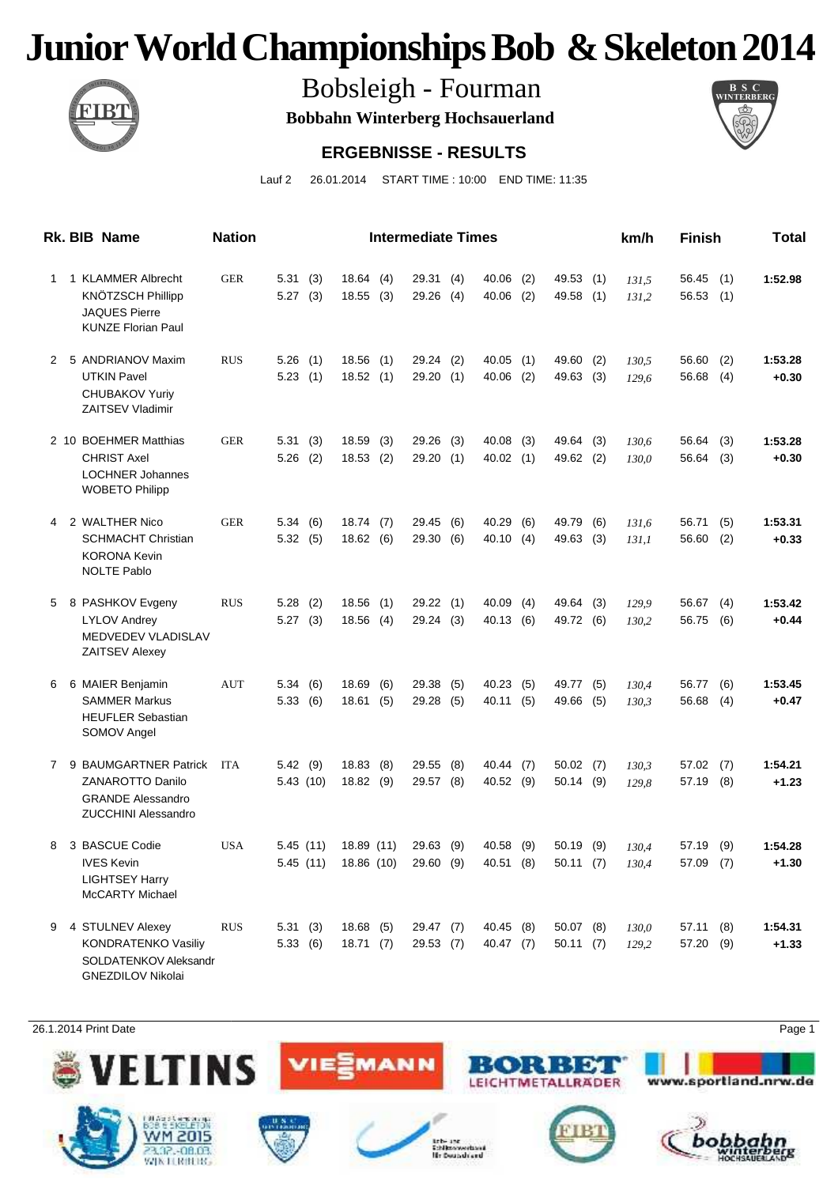

Bobsleigh - Fourman

**Bobbahn Winterberg Hochsauerland**



#### **ERGEBNISSE - RESULTS**

Lauf 2 26.01.2014 START TIME : 10:00 END TIME: 11:35

|             | Rk. BIB Name                                                                                               | <b>Nation</b> |                      |            |                          |            | <b>Intermediate Times</b> |            |                        |            |                         |            | km/h           | <b>Finish</b>      |            | Total              |
|-------------|------------------------------------------------------------------------------------------------------------|---------------|----------------------|------------|--------------------------|------------|---------------------------|------------|------------------------|------------|-------------------------|------------|----------------|--------------------|------------|--------------------|
| 1           | 1 KLAMMER Albrecht<br>KNÖTZSCH Phillipp<br><b>JAQUES Pierre</b><br><b>KUNZE Florian Paul</b>               | <b>GER</b>    | 5.31(3)<br>5.27      | (3)        | 18.64<br>18.55           | (4)<br>(3) | 29.31(4)<br>29.26         | (4)        | 40.06<br>40.06         | (2)<br>(2) | 49.53 (1)<br>49.58 (1)  |            | 131,5<br>131,2 | 56.45<br>56.53     | (1)<br>(1) | 1:52.98            |
| 2           | 5 ANDRIANOV Maxim<br><b>UTKIN Pavel</b><br><b>CHUBAKOV Yuriy</b><br><b>ZAITSEV Vladimir</b>                | <b>RUS</b>    | 5.26<br>5.23         | (1)<br>(1) | 18.56<br>18.52           | (1)<br>(1) | 29.24<br>29.20(1)         | (2)        | 40.05<br>40.06         | (1)<br>(2) | 49.60<br>49.63          | (2)<br>(3) | 130,5<br>129,6 | 56.60<br>56.68     | (2)<br>(4) | 1:53.28<br>+0.30   |
|             | 2 10 BOEHMER Matthias<br><b>CHRIST Axel</b><br><b>LOCHNER Johannes</b><br><b>WOBETO Philipp</b>            | <b>GER</b>    | 5.31<br>5.26         | (3)<br>(2) | 18.59<br>18.53           | (3)<br>(2) | 29.26<br>29.20(1)         | (3)        | 40.08<br>40.02         | (3)<br>(1) | 49.64 (3)<br>49.62 (2)  |            | 130,6<br>130,0 | 56.64<br>56.64     | (3)<br>(3) | 1:53.28<br>+0.30   |
| 4           | 2 WALTHER Nico<br>SCHMACHT Christian<br><b>KORONA Kevin</b><br><b>NOLTE Pablo</b>                          | <b>GER</b>    | 5.34(6)<br>5.32(5)   |            | 18.74(7)<br>18.62(6)     |            | 29.45<br>29.30            | (6)<br>(6) | 40.29<br>40.10         | (6)<br>(4) | 49.79<br>49.63 (3)      | (6)        | 131,6<br>131,1 | 56.71<br>56.60     | (5)<br>(2) | 1:53.31<br>+0.33   |
|             | 5 8 PASHKOV Evgeny<br><b>LYLOV Andrey</b><br>MEDVEDEV VLADISLAV<br><b>ZAITSEV Alexey</b>                   | <b>RUS</b>    | 5.28<br>5.27(3)      | (2)        | 18.56<br>18.56           | (1)<br>(4) | 29.22<br>29.24(3)         | (1)        | 40.09<br>40.13         | (4)<br>(6) | 49.64<br>49.72 (6)      | (3)        | 129,9<br>130,2 | 56.67<br>56.75     | (4)<br>(6) | 1:53.42<br>+0.44   |
| 6           | 6 MAIER Benjamin<br><b>SAMMER Markus</b><br><b>HEUFLER Sebastian</b><br>SOMOV Angel                        | <b>AUT</b>    | 5.34(6)<br>5.33(6)   |            | 18.69<br>18.61           | (6)<br>(5) | 29.38<br>29.28            | (5)<br>(5) | 40.23<br>40.11         | (5)<br>(5) | 49.77 (5)<br>49.66      | (5)        | 130,4<br>130,3 | 56.77<br>56.68     | (6)<br>(4) | 1:53.45<br>$+0.47$ |
| $7^{\circ}$ | 9 BAUMGARTNER Patrick<br><b>ZANAROTTO Danilo</b><br><b>GRANDE Alessandro</b><br><b>ZUCCHINI Alessandro</b> | <b>ITA</b>    | 5.42(9)<br>5.43(10)  |            | 18.83<br>18.82           | (8)<br>(9) | 29.55<br>29.57 (8)        | (8)        | 40.44<br>40.52         | (7)<br>(9) | 50.02(7)<br>$50.14$ (9) |            | 130,3<br>129,8 | 57.02<br>57.19     | (7)<br>(8) | 1:54.21<br>+1.23   |
| 8           | 3 BASCUE Codie<br><b>IVES Kevin</b><br>LIGHTSEY Harry<br>McCARTY Michael                                   | <b>USA</b>    | 5.45(11)<br>5.45(11) |            | 18.89 (11)<br>18.86 (10) |            | 29.63 (9)<br>29.60 (9)    |            | 40.58<br>40.51 (8)     | (9)        | $50.19$ (9)<br>50.11(7) |            | 130,4<br>130,4 | 57.19<br>57.09 (7) | (9)        | 1:54.28<br>$+1.30$ |
| 9           | 4 STULNEV Alexey<br><b>KONDRATENKO Vasiliy</b><br>SOLDATENKOV Aleksandr<br><b>GNEZDILOV Nikolai</b>        | <b>RUS</b>    | 5.31(3)<br>5.33(6)   |            | 18.68(5)<br>18.71(7)     |            | 29.47 (7)<br>29.53(7)     |            | 40.45 (8)<br>40.47 (7) |            | $50.07$ (8)<br>50.11(7) |            | 130,0<br>129,2 | 57.11<br>57.20 (9) | (8)        | 1:54.31<br>$+1.33$ |

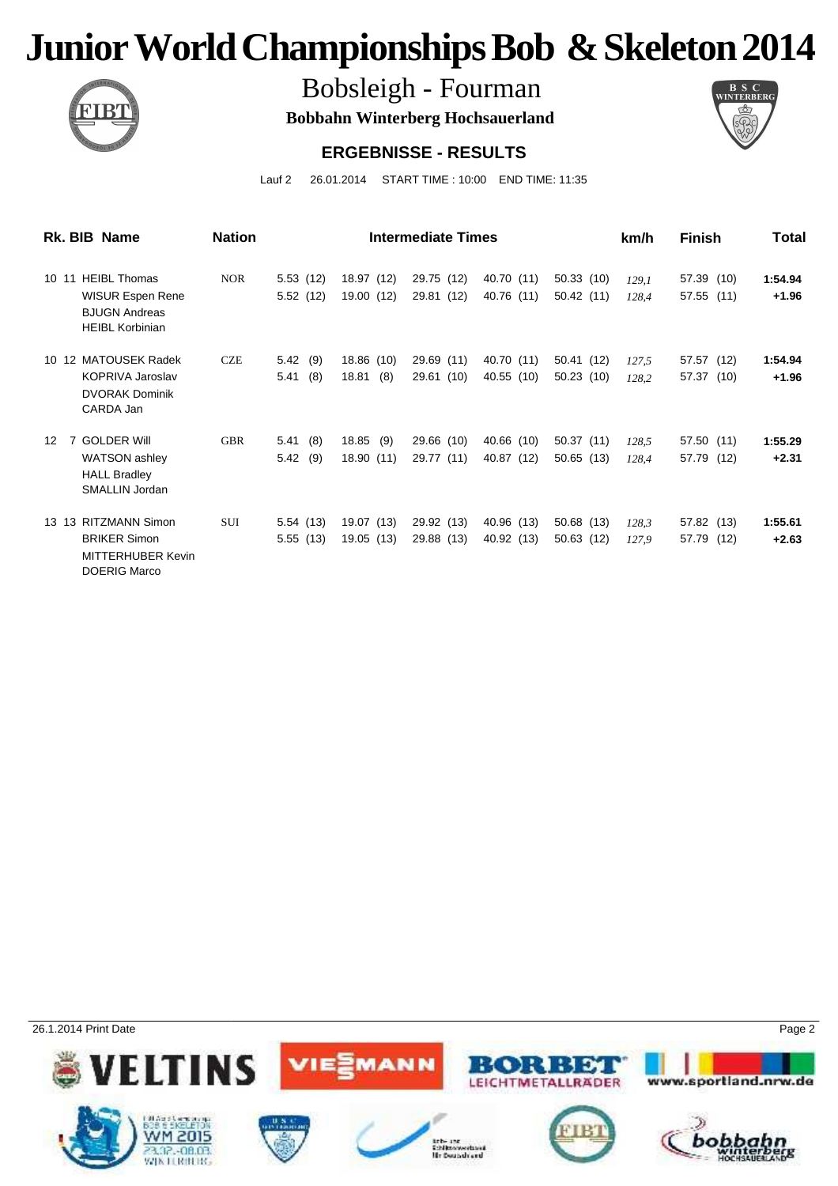

Bobsleigh - Fourman

**Bobbahn Winterberg Hochsauerland**



#### **ERGEBNISSE - RESULTS**

Lauf 2 26.01.2014 START TIME : 10:00 END TIME: 11:35

| Rk. BIB Name                                                                                              | <b>Nation</b> |                        | <b>Intermediate Times</b>  | km/h                     | <b>Finish</b>            | Total                   |                |                          |                    |
|-----------------------------------------------------------------------------------------------------------|---------------|------------------------|----------------------------|--------------------------|--------------------------|-------------------------|----------------|--------------------------|--------------------|
| <b>HEIBL Thomas</b><br>10 11<br><b>WISUR Espen Rene</b><br><b>BJUGN Andreas</b><br><b>HEIBL Korbinian</b> | <b>NOR</b>    | 5.53(12)<br>5.52(12)   | 18.97 (12)<br>19.00 (12)   | 29.75 (12)<br>29.81 (12) | 40.70 (11)<br>40.76 (11) | 50.33(10)<br>50.42(11)  | 129.1<br>128,4 | 57.39 (10)<br>57.55 (11) | 1:54.94<br>$+1.96$ |
| 10 12 MATOUSEK Radek<br><b>KOPRIVA Jaroslav</b><br><b>DVORAK Dominik</b><br>CARDA Jan                     | <b>CZE</b>    | 5.42(9)<br>(8)<br>5.41 | 18.86 (10)<br>18.81<br>(8) | 29.69 (11)<br>29.61 (10) | 40.70 (11)<br>40.55 (10) | 50.41 (12)<br>50.23(10) | 127,5<br>128,2 | 57.57 (12)<br>57.37 (10) | 1:54.94<br>$+1.96$ |
| <b>GOLDER Will</b><br>12<br>7<br>WATSON ashley<br><b>HALL Bradley</b><br>SMALLIN Jordan                   | <b>GBR</b>    | 5.41(8)<br>5.42<br>(9) | 18.85 (9)<br>18.90 (11)    | 29.66 (10)<br>29.77 (11) | 40.66 (10)<br>40.87 (12) | 50.37(11)<br>50.65(13)  | 128,5<br>128.4 | 57.50 (11)<br>57.79 (12) | 1:55.29<br>$+2.31$ |
| 13 13 RITZMANN Simon<br><b>BRIKER Simon</b><br><b>MITTERHUBER Kevin</b><br><b>DOERIG Marco</b>            | <b>SUI</b>    | 5.54(13)<br>5.55(13)   | 19.07 (13)<br>19.05 (13)   | 29.92 (13)<br>29.88 (13) | 40.96 (13)<br>40.92 (13) | 50.68 (13)<br>50.63(12) | 128,3<br>127,9 | 57.82 (13)<br>57.79 (12) | 1:55.61<br>$+2.63$ |

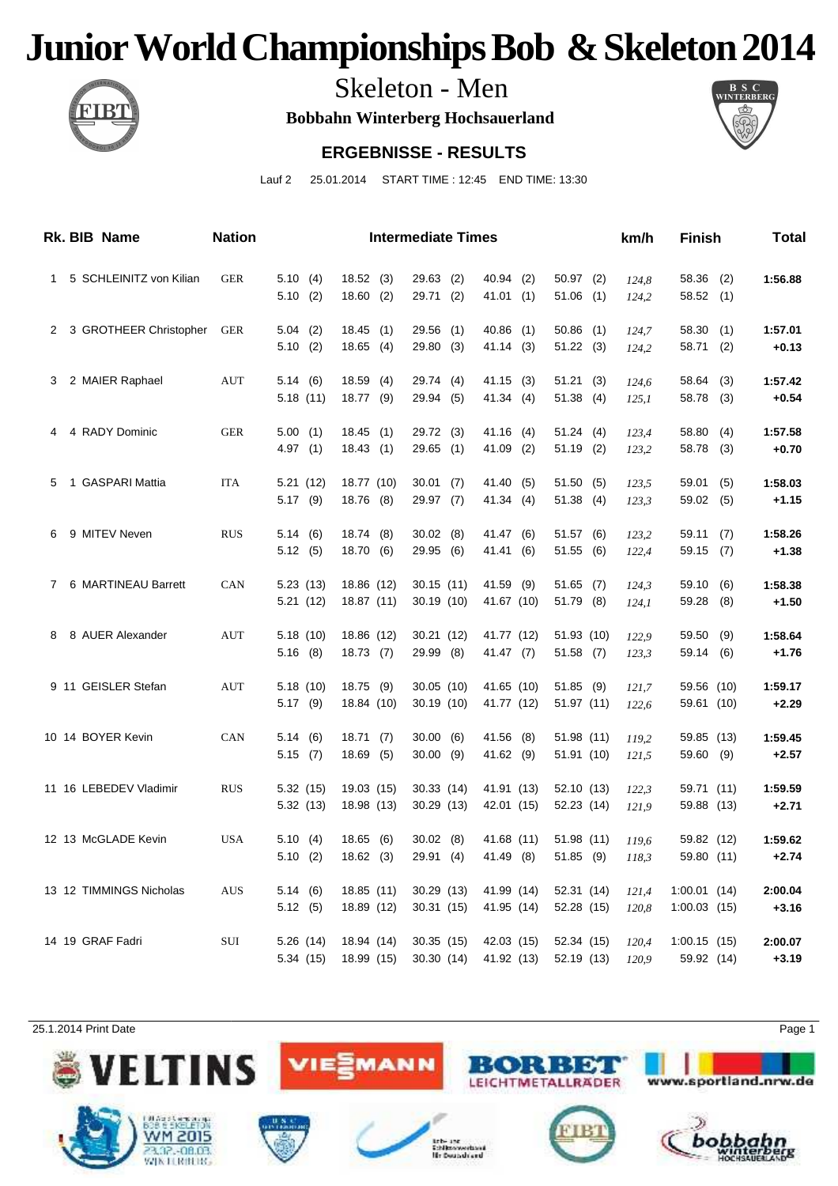

Skeleton - Men

**Bobbahn Winterberg Hochsauerland**



#### **ERGEBNISSE - RESULTS**

Lauf 2 25.01.2014 START TIME : 12:45 END TIME: 13:30

|   | Rk. BIB Name            | <b>Nation</b> |            |            | <b>Intermediate Times</b> |             |             | km/h  | <b>Finish</b>  |     | Total   |
|---|-------------------------|---------------|------------|------------|---------------------------|-------------|-------------|-------|----------------|-----|---------|
| 1 | 5 SCHLEINITZ von Kilian | <b>GER</b>    | 5.10(4)    | 18.52(3)   | $29.63$ (2)               | 40.94 (2)   | $50.97$ (2) | 124,8 | 58.36          | (2) | 1:56.88 |
|   |                         |               | 5.10(2)    | 18.60(2)   | 29.71 (2)                 | 41.01(1)    | $51.06$ (1) | 124,2 | 58.52(1)       |     |         |
| 2 | 3 GROTHEER Christopher  | <b>GER</b>    | $5.04$ (2) | 18.45(1)   | $29.56$ (1)               | $40.86$ (1) | $50.86$ (1) | 124,7 | 58.30          | (1) | 1:57.01 |
|   |                         |               | 5.10(2)    | 18.65(4)   | 29.80 (3)                 | 41.14 (3)   | 51.22(3)    | 124,2 | 58.71          | (2) | $+0.13$ |
| 3 | 2 MAIER Raphael         | AUT           | 5.14(6)    | 18.59(4)   | 29.74 (4)                 | 41.15 (3)   | 51.21(3)    | 124,6 | 58.64          | (3) | 1:57.42 |
|   |                         |               | 5.18(11)   | 18.77 (9)  | 29.94 (5)                 | 41.34 (4)   | 51.38(4)    | 125,1 | 58.78 (3)      |     | $+0.54$ |
| 4 | 4 RADY Dominic          | <b>GER</b>    | 5.00(1)    | 18.45(1)   | 29.72 (3)                 | 41.16 (4)   | 51.24(4)    | 123,4 | 58.80          | (4) | 1:57.58 |
|   |                         |               | 4.97(1)    | 18.43(1)   | $29.65$ (1)               | $41.09$ (2) | 51.19 (2)   | 123,2 | 58.78          | (3) | $+0.70$ |
| 5 | 1 GASPARI Mattia        | <b>ITA</b>    | 5.21(12)   | 18.77 (10) | 30.01(7)                  | 41.40 (5)   | 51.50(5)    | 123,5 | 59.01          | (5) | 1:58.03 |
|   |                         |               | $5.17$ (9) | 18.76 (8)  | 29.97 (7)                 | 41.34 (4)   | 51.38(4)    | 123,3 | 59.02          | (5) | $+1.15$ |
| 6 | 9 MITEV Neven           | <b>RUS</b>    | 5.14(6)    | 18.74 (8)  | $30.02$ (8)               | 41.47 (6)   | 51.57 (6)   | 123,2 | 59.11          | (7) | 1:58.26 |
|   |                         |               | 5.12(5)    | 18.70 (6)  | 29.95 (6)                 | 41.41 (6)   | 51.55(6)    | 122,4 | 59.15          | (7) | $+1.38$ |
| 7 | 6 MARTINEAU Barrett     | CAN           | 5.23(13)   | 18.86 (12) | 30.15(11)                 | 41.59 (9)   | $51.65$ (7) | 124,3 | 59.10          | (6) | 1:58.38 |
|   |                         |               | 5.21(12)   | 18.87 (11) | 30.19 (10)                | 41.67 (10)  | 51.79 (8)   | 124,1 | 59.28          | (8) | $+1.50$ |
| 8 | 8 AUER Alexander        | <b>AUT</b>    | 5.18(10)   | 18.86 (12) | 30.21 (12)                | 41.77 (12)  | 51.93 (10)  | 122,9 | 59.50          | (9) | 1:58.64 |
|   |                         |               | 5.16(8)    | 18.73(7)   | 29.99 (8)                 | 41.47(7)    | $51.58$ (7) | 123,3 | 59.14          | (6) | $+1.76$ |
|   | 9 11 GEISLER Stefan     | AUT           | 5.18(10)   | 18.75 (9)  | 30.05(10)                 | 41.65 (10)  | 51.85(9)    | 121,7 | 59.56 (10)     |     | 1:59.17 |
|   |                         |               | $5.17$ (9) | 18.84 (10) | 30.19(10)                 | 41.77 (12)  | 51.97(11)   | 122,6 | 59.61 (10)     |     | $+2.29$ |
|   | 10 14 BOYER Kevin       | <b>CAN</b>    | 5.14(6)    | 18.71(7)   | 30.00(6)                  | 41.56 (8)   | 51.98 (11)  | 119,2 | 59.85 (13)     |     | 1:59.45 |
|   |                         |               | 5.15(7)    | 18.69(5)   | $30.00$ (9)               | 41.62 (9)   | 51.91 (10)  | 121,5 | 59.60          | (9) | $+2.57$ |
|   | 11 16 LEBEDEV Vladimir  | <b>RUS</b>    | 5.32 (15)  | 19.03 (15) | 30.33 (14)                | 41.91 (13)  | 52.10 (13)  | 122,3 | 59.71 (11)     |     | 1:59.59 |
|   |                         |               | 5.32 (13)  | 18.98 (13) | 30.29 (13)                | 42.01 (15)  | 52.23 (14)  | 121,9 | 59.88 (13)     |     | $+2.71$ |
|   | 12 13 McGLADE Kevin     | <b>USA</b>    | 5.10(4)    | 18.65(6)   | $30.02$ (8)               | 41.68 (11)  | 51.98(11)   | 119,6 | 59.82 (12)     |     | 1:59.62 |
|   |                         |               | 5.10(2)    | 18.62 (3)  | 29.91 (4)                 | 41.49 (8)   | 51.85 (9)   | 118,3 | 59.80 (11)     |     | $+2.74$ |
|   | 13 12 TIMMINGS Nicholas | <b>AUS</b>    | 5.14(6)    | 18.85 (11) | 30.29(13)                 | 41.99 (14)  | 52.31 (14)  | 121,4 | 1:00.01(14)    |     | 2:00.04 |
|   |                         |               | 5.12(5)    | 18.89 (12) | 30.31(15)                 | 41.95 (14)  | 52.28 (15)  | 120,8 | $1:00.03$ (15) |     | $+3.16$ |
|   | 14 19 GRAF Fadri        | SUI           | 5.26 (14)  | 18.94 (14) | 30.35(15)                 | 42.03 (15)  | 52.34 (15)  | 120,4 | 1:00.15(15)    |     | 2:00.07 |
|   |                         |               | 5.34 (15)  | 18.99 (15) | 30.30(14)                 | 41.92 (13)  | 52.19 (13)  | 120,9 | 59.92 (14)     |     | $+3.19$ |

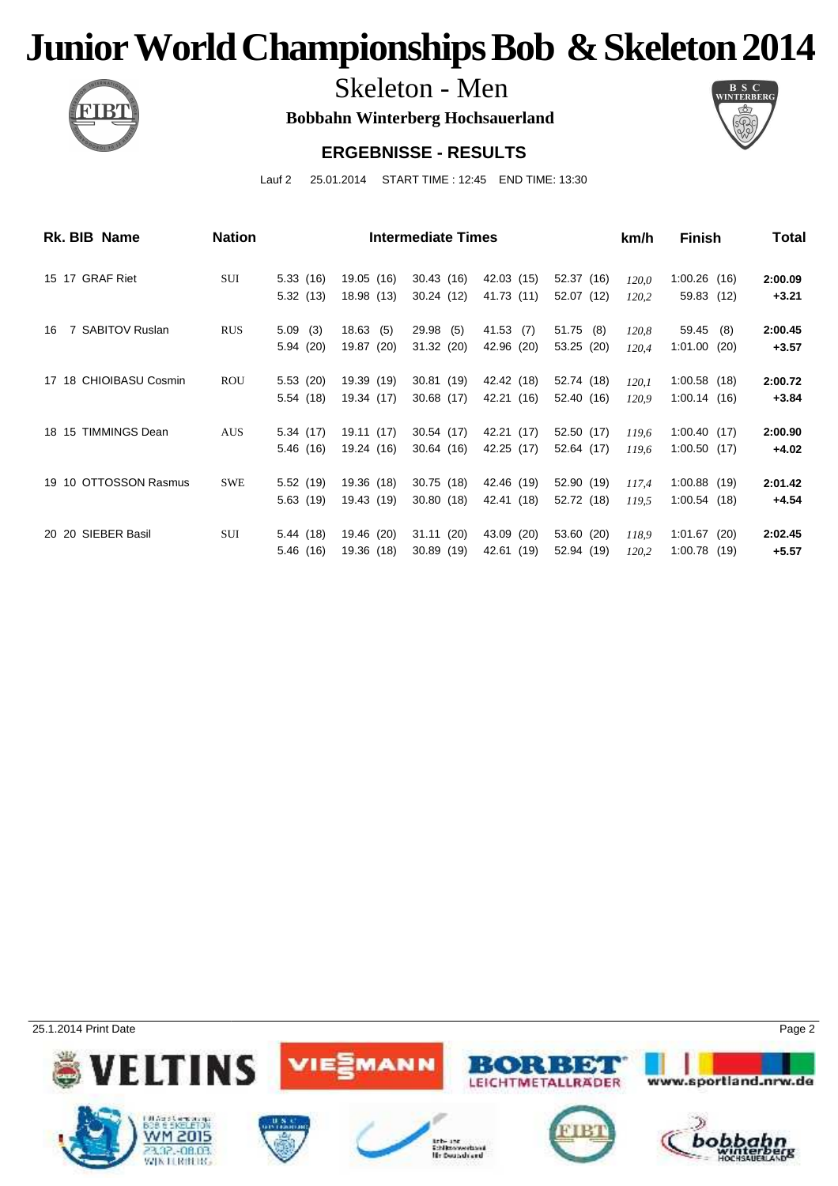

Skeleton - Men

**Bobbahn Winterberg Hochsauerland**



#### **ERGEBNISSE - RESULTS**

Lauf 2 25.01.2014 START TIME : 12:45 END TIME: 13:30

| Rk. BIB Name           | <b>Nation</b> |           | <b>Intermediate Times</b> | km/h       | <b>Finish</b> | Total       |       |                |         |
|------------------------|---------------|-----------|---------------------------|------------|---------------|-------------|-------|----------------|---------|
| 15 17 GRAF Riet        | SUI           | 5.33(16)  | 19.05 (16)                | 30.43(16)  | 42.03 (15)    | 52.37 (16)  | 120,0 | $1:00.26$ (16) | 2:00.09 |
|                        |               | 5.32(13)  | 18.98 (13)                | 30.24 (12) | 41.73 (11)    | 52.07 (12)  | 120,2 | 59.83 (12)     | $+3.21$ |
| 7 SABITOV Ruslan<br>16 | <b>RUS</b>    | 5.09(3)   | 18.63(5)                  | 29.98 (5)  | 41.53 (7)     | $51.75$ (8) | 120,8 | 59.45 (8)      | 2:00.45 |
|                        |               | 5.94(20)  | 19.87 (20)                | 31.32 (20) | 42.96 (20)    | 53.25 (20)  | 120,4 | 1:01.00(20)    | $+3.57$ |
| 17 18 CHIOIBASU Cosmin | <b>ROU</b>    | 5.53(20)  | 19.39 (19)                | 30.81 (19) | 42.42 (18)    | 52.74 (18)  | 120,1 | $1:00.58$ (18) | 2:00.72 |
|                        |               | 5.54(18)  | 19.34 (17)                | 30.68 (17) | 42.21 (16)    | 52.40 (16)  | 120.9 | 1:00.14(16)    | $+3.84$ |
| 18 15 TIMMINGS Dean    | <b>AUS</b>    | 5.34(17)  | 19.11 (17)                | 30.54 (17) | 42.21 (17)    | 52.50 (17)  | 119.6 | 1:00.40(17)    | 2:00.90 |
|                        |               | 5.46(16)  | 19.24 (16)                | 30.64(16)  | 42.25 (17)    | 52.64 (17)  | 119,6 | 1:00.50(17)    | $+4.02$ |
| 19 10 OTTOSSON Rasmus  | <b>SWE</b>    | 5.52(19)  | 19.36 (18)                | 30.75 (18) | 42.46 (19)    | 52.90 (19)  | 117,4 | $1:00.88$ (19) | 2:01.42 |
|                        |               | 5.63(19)  | 19.43 (19)                | 30.80(18)  | 42.41 (18)    | 52.72 (18)  | 119.5 | 1:00.54(18)    | $+4.54$ |
| 20 20 SIEBER Basil     | SUI           | 5.44 (18) | 19.46 (20)                | 31.11(20)  | 43.09 (20)    | 53.60 (20)  | 118.9 | $1:01.67$ (20) | 2:02.45 |
|                        |               | 5.46 (16) | 19.36 (18)                | 30.89 (19) | 42.61 (19)    | 52.94 (19)  | 120,2 | 1:00.78(19)    | $+5.57$ |

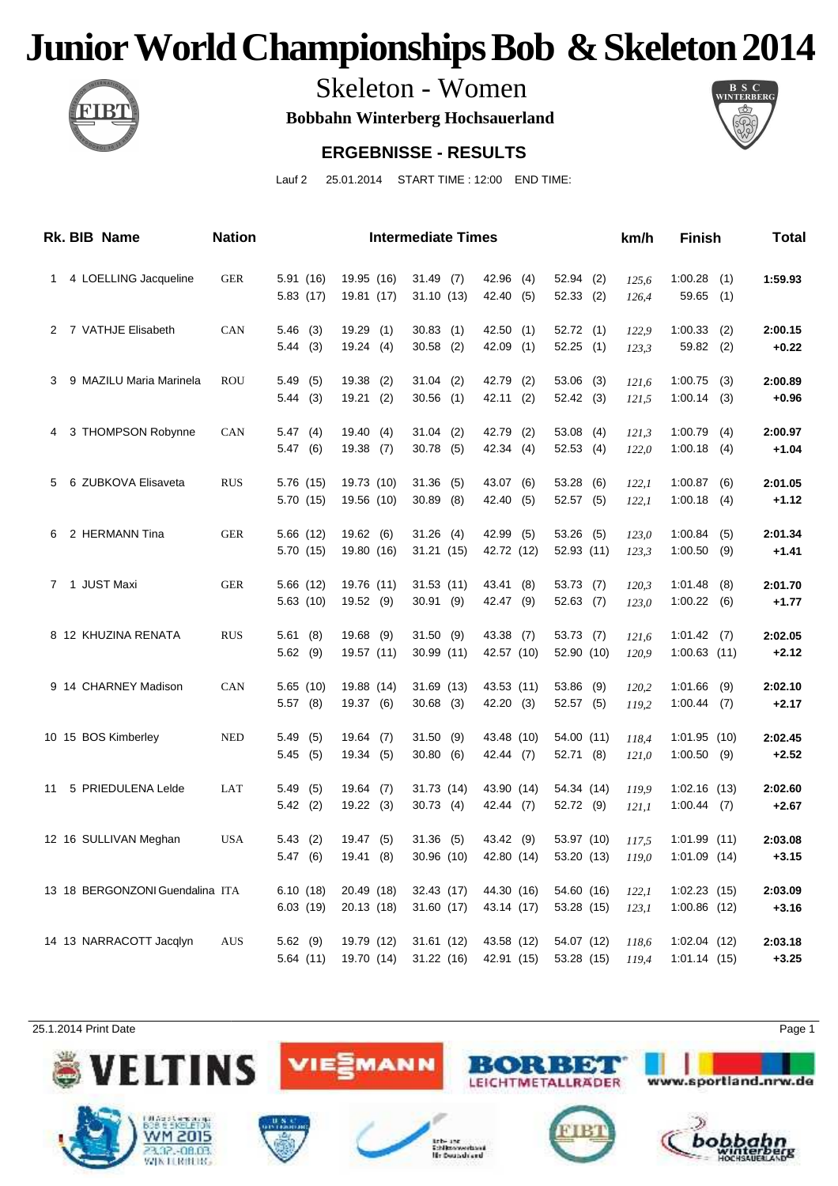

Skeleton - Women

**Bobbahn Winterberg Hochsauerland**



#### **ERGEBNISSE - RESULTS**

Lauf 2 25.01.2014 START TIME : 12:00 END TIME:

|                      | <b>Rk. BIB Name</b>             | <b>Nation</b> | <b>Intermediate Times</b> |                          |     |                            |  |                          |     |                          |  | km/h           | <b>Finish</b>                 |            | Total              |
|----------------------|---------------------------------|---------------|---------------------------|--------------------------|-----|----------------------------|--|--------------------------|-----|--------------------------|--|----------------|-------------------------------|------------|--------------------|
| 1                    | 4 LOELLING Jacqueline           | <b>GER</b>    | 5.91(16)<br>5.83(17)      | 19.95 (16)<br>19.81 (17) |     | 31.49(7)<br>31.10(13)      |  | 42.96 (4)<br>42.40       | (5) | $52.94$ (2)<br>52.33(2)  |  | 125,6<br>126,4 | 1:00.28<br>59.65              | (1)<br>(1) | 1:59.93            |
| $\mathbf{2}^{\circ}$ | 7 VATHJE Elisabeth              | CAN           | 5.46(3)                   | 19.29(1)                 |     | $30.83$ (1)                |  | 42.50 (1)                |     | 52.72(1)                 |  | 122,9          | 1:00.33                       | (2)        | 2:00.15            |
|                      |                                 |               | 5.44(3)                   | 19.24(4)                 |     | $30.58$ (2)                |  | 42.09                    | (1) | 52.25(1)                 |  | 123,3          | 59.82                         | (2)        | $+0.22$            |
| 3                    | 9 MAZILU Maria Marinela         | ROU           | 5.49(5)                   | $19.38$ (2)              |     | $31.04$ (2)                |  | 42.79 (2)                |     | $53.06$ (3)              |  | 121,6          | 1:00.75                       | (3)        | 2:00.89            |
|                      |                                 |               | 5.44(3)                   | 19.21                    | (2) | $30.56$ (1)                |  | 42.11                    | (2) | 52.42 (3)                |  | 121,5          | 1:00.14                       | (3)        | $+0.96$            |
| 4                    | 3 THOMPSON Robynne              | CAN           | 5.47(4)                   | 19.40(4)                 |     | $31.04$ (2)                |  | 42.79 (2)                |     | $53.08$ (4)              |  | 121,3          | 1:00.79                       | (4)        | 2:00.97            |
|                      |                                 |               | 5.47(6)                   | 19.38                    | (7) | $30.78$ (5)                |  | 42.34                    | (4) | 52.53(4)                 |  | 122,0          | 1:00.18                       | (4)        | $+1.04$            |
| 5                    | 6 ZUBKOVA Elisaveta             | <b>RUS</b>    | 5.76 (15)<br>5.70 (15)    | 19.73 (10)<br>19.56 (10) |     | $31.36$ (5)<br>$30.89$ (8) |  | 43.07 (6)<br>42.40       |     | 53.28 (6)                |  | 122,1          | 1:00.87<br>1:00.18            | (6)        | 2:01.05            |
|                      |                                 |               |                           |                          |     |                            |  |                          | (5) | 52.57 (5)                |  | 122,1          |                               | (4)        | $+1.12$            |
| 6                    | 2 HERMANN Tina                  | <b>GER</b>    | 5.66(12)<br>5.70 (15)     | 19.62 (6)<br>19.80 (16)  |     | 31.26(4)<br>31.21(15)      |  | 42.99 (5)<br>42.72 (12)  |     | 53.26 (5)<br>52.93 (11)  |  | 123,0<br>123,3 | 1:00.84<br>1:00.50            | (5)<br>(9) | 2:01.34<br>$+1.41$ |
|                      |                                 |               |                           |                          |     |                            |  |                          |     |                          |  |                |                               |            |                    |
| $\mathbf{7}$         | 1 JUST Maxi                     | <b>GER</b>    | 5.66(12)<br>5.63(10)      | 19.76 (11)<br>19.52 (9)  |     | 31.53(11)<br>30.91(9)      |  | 43.41 (8)<br>42.47 (9)   |     | 53.73(7)<br>52.63(7)     |  | 120,3<br>123,0 | 1:01.48<br>1:00.22            | (8)<br>(6) | 2:01.70<br>$+1.77$ |
|                      | 8 12 KHUZINA RENATA             |               |                           |                          |     |                            |  |                          |     |                          |  |                |                               |            |                    |
|                      |                                 | <b>RUS</b>    | 5.61<br>(8)<br>5.62(9)    | 19.68 (9)<br>19.57 (11)  |     | 31.50(9)<br>30.99 (11)     |  | 43.38 (7)<br>42.57 (10)  |     | 53.73(7)<br>52.90 (10)   |  | 121,6<br>120,9 | 1:01.42<br>$1:00.63$ (11)     | (7)        | 2:02.05<br>$+2.12$ |
|                      | 9 14 CHARNEY Madison            | CAN           | 5.65(10)                  | 19.88 (14)               |     | 31.69 (13)                 |  | 43.53 (11)               |     | $53.86$ (9)              |  | 120,2          | 1:01.66                       | (9)        | 2:02.10            |
|                      |                                 |               | $5.57$ (8)                | 19.37 (6)                |     | $30.68$ (3)                |  | 42.20 (3)                |     | 52.57 (5)                |  | 119,2          | 1:00.44                       | (7)        | $+2.17$            |
|                      | 10 15 BOS Kimberley             | <b>NED</b>    | 5.49<br>(5)               | 19.64(7)                 |     | 31.50(9)                   |  | 43.48 (10)               |     | 54.00 (11)               |  | 118,4          | 1:01.95(10)                   |            | 2:02.45            |
|                      |                                 |               | 5.45(5)                   | 19.34(5)                 |     | 30.80(6)                   |  | 42.44 (7)                |     | 52.71 (8)                |  | 121,0          | $1:00.50$ (9)                 |            | $+2.52$            |
| 11                   | 5 PRIEDULENA Lelde              | LAT           | 5.49<br>(5)               | 19.64(7)                 |     | 31.73 (14)                 |  | 43.90 (14)               |     | 54.34 (14)               |  | 119,9          | $1:02.16$ (13)                |            | 2:02.60            |
|                      |                                 |               | 5.42(2)                   | 19.22(3)                 |     | 30.73(4)                   |  | 42.44 (7)                |     | 52.72 (9)                |  | 121,1          | $1:00.44$ (7)                 |            | $+2.67$            |
|                      | 12 16 SULLIVAN Meghan           | <b>USA</b>    | 5.43(2)                   | 19.47 (5)                |     | $31.36$ (5)                |  | 43.42 (9)                |     | 53.97 (10)               |  | 117,5          | 1:01.99(11)                   |            | 2:03.08            |
|                      |                                 |               | 5.47(6)                   | 19.41 (8)                |     | 30.96 (10)                 |  |                          |     | 42.80 (14) 53.20 (13)    |  | 119,0          | $1:01.09$ (14)                |            | $+3.15$            |
|                      | 13 18 BERGONZONI Guendalina ITA |               | 6.10(18)                  | 20.49 (18)               |     | 32.43 (17)                 |  | 44.30 (16)               |     | 54.60 (16)               |  | 122,1          | 1:02.23(15)                   |            | 2:03.09            |
|                      |                                 |               | 6.03(19)                  | 20.13 (18)               |     | 31.60 (17)                 |  | 43.14 (17)               |     | 53.28 (15)               |  | 123,1          | $1:00.86$ (12)                |            | $+3.16$            |
|                      | 14 13 NARRACOTT Jacqlyn         | <b>AUS</b>    | 5.62(9)<br>5.64(11)       | 19.79 (12)<br>19.70 (14) |     | 31.61 (12)<br>31.22 (16)   |  | 43.58 (12)<br>42.91 (15) |     | 54.07 (12)<br>53.28 (15) |  | 118,6<br>119,4 | $1:02.04$ (12)<br>1:01.14(15) |            | 2:03.18<br>$+3.25$ |